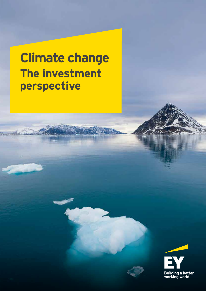# **Climate change The investment perspective**

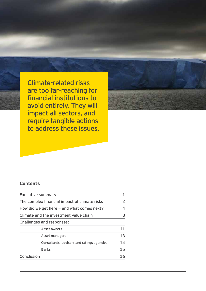Climate-related risks are too far-reaching for financial institutions to avoid entirely. They will impact all sectors, and require tangible actions to address these issues.



## **Contents**

| <b>Executive summary</b>                      | 1  |
|-----------------------------------------------|----|
| The complex financial impact of climate risks | 2  |
| How did we get here $-$ and what comes next?  | 4  |
| Climate and the investment value chain        | 8  |
| <b>Challenges and responses:</b>              |    |
| Asset owners                                  | 11 |
| Asset managers                                | 13 |
| Consultants, advisors and ratings agencies    | 14 |
| <b>Banks</b>                                  | 15 |
| Conclusion                                    | 16 |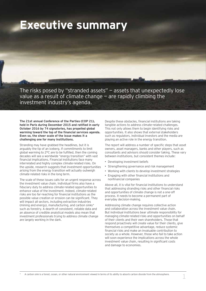# **Executive summary**

The risks posed by "stranded assets" — assets that unexpectedly lose value as a result of climate change — are rapidly climbing the investment industry's agenda.

**The 21st annual Conference of the Parties (COP 21), held in Paris during December 2015 and ratified in early October 2016 by 74 signatories, has propelled global warming toward the top of the financial services agenda. Even so, the sheer scale of the issue makes it a challenging one for many institutions.**

Stranding may have grabbed the headlines, but it is arguably the tip of an iceberg. If commitments to limit global warming to 2°C are to be fulfilled, then the coming decades will see a worldwide "energy transition" with vast financial implications. Financial institutions face many interrelated and highly complex climate-related risks. On the upside, research suggests that investment opportunities arising from the energy transition will actually outweigh climate-related risks in the long term.

The scale of these issues calls for an urgent response across the investment value chain. Individual firms also have a fiduciary duty to address climate-related opportunities to enhance value of the investment. Indeed, climate-related risks are too far-reaching for financial institutions as the possible value creation or erosion can be significant. They will impact all sectors, including extraction industries (mining and energy), manufacturing, and carbon sinks\* such as forestry. A dearth of consistent, reliable data and an absence of credible analytical models also mean that investment professionals trying to address climate change are largely working in the dark.

Despite these obstacles, financial institutions are taking tangible actions to address climate-related challenges. This not only allows them to begin identifying risks and opportunities. It also shows that external stakeholders such as regulators, individual investors and the media are playing an active role in the energy transition.

The report will address a number of specific steps that asset owners, asset managers, banks and other players, such as consultants and advisors should consider taking. These vary between institutions, but consistent themes include:

- Developing investment beliefs
- Strengthening governance and risk management
- Working with clients to develop investment strategies
- Engaging with other financial institutions and nonfinancial companies

Above all, it is vital for financial institutions to understand that addressing stranding risks and other financial risks and opportunities of climate change is not a one-off process. It needs to become a permanent part of everyday decision-making.

Addressing climate change requires collective action and collaboration across the investment value chain. But individual institutions bear ultimate responsibility for managing climate-related risks and opportunities on behalf of their clients and their own shareholders. Those that respond proactively will create value for their clients, give themselves a competitive advantage, reduce systemic financial risks and make an invaluable contribution to society as a whole. However, those who fail to take action will soon experience the implications across the whole investment value chain, resulting in significant costs and damage to economies.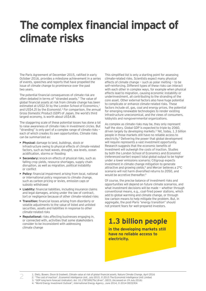# **The complex financial impact of climate risks**

The Paris Agreement of December 2015, ratified in early October 2016, provides a milestone achievement in a series of events, speeches and reports that have propelled the issue of climate change to prominence over the past two years.

The potential financial consequences of climate risk are often debated in terms of "stranded assets." The value of global financial assets at risk from climate change has been estimated at US\$2.5t by the London School of Economics,<sup>1</sup> and US\$4.2t by the *Economist*. <sup>2</sup> For comparison, the annual Gross Domestic Product (GDP) of Japan, the world's third largest economy, is worth about US\$4.8t.

The staggering scale of these potential losses has done a lot to raise awareness of climate risks in investment circles. But "stranding" is only part of a complex range of climate risks each of which creates its own opportunities. Climate risks can be summarized as:

- **• Physical:** damage to land, buildings, stock or infrastructure owing to physical effects of climate-related factors, such as heat waves, drought, sea levels, ocean acidification, storms or flooding
- **• Secondary:** knock-on effects of physical risks, such as falling crop yields, resource shortages, supply chain disruption, as well as migration, political instability or conflict
- **• Policy:** financial impairment arising from local, national or international policy responses to climate change, such as carbon pricing or levies, emission caps or subsidy withdrawal
- **• Liability:** financial liabilities, including insurance claims and legal damages, arising under the law of contract, tort or negligence because of other climate-related risks
- **• Transition:** financial losses arising from disorderly or volatile adjustments to the value of listed and unlisted securities, assets and liabilities in response to other climate-related risks
- **• Reputational:** risks affecting businesses engaging in, or connected with, activities that some stakeholders consider to be inconsistent with addressing climate change

2

This simplified list is only a starting point for assessing climate-related risks. Scientists expect many physical effects of climate change  $-$  such as polar melting  $-$  to be self-reinforcing. Different types of these risks can interact with each other in complex ways, for example when physical effects lead to migration, causing economic instability or underinvestment, all contributing to the stranding of the core asset. Other external factors also have huge potential to complicate or enhance climate-related risks. These factors include oil, gas, coal and energy prices, the potential for emerging renewable technologies to render existing infrastructure uneconomical, and the views of consumers, lobbyists and nongovernmental organizations.

As complex as climate risks may be, they only represent half the story. Global GDP is expected to triple by 2060, driven largely by developing markets.3 Yet, today, 1.3 billion people in those markets still have no reliable access to electricity.4 Delivering the power that global development will require represents a vast investment opportunity. Research suggests that the economic benefits of investment will outweigh the costs of inaction. Studies by both the London School of Economics and *Economist* (referenced earlier) expect total global output to be higher under a lower emissions scenario; Citigroup expects investment in climate change mitigation to generate attractive and growing yields;<sup>5</sup> and Mercer believes a 2°C scenario will not harm diversified returns to 2050, and would be accretive thereafter.<sup>6</sup>

Of course, the precise balance of investment risks and opportunities will depend on future climate scenarios, and what investment decisions will be made - whether through conventional means, e.g., coal-fired power stations, which add to global warming and climate change, or through low carbon means to help mitigate the problem. But, in aggregate, the post-Paris "energy transition" should not present fears for well-prepared investors.

## **1.3 billion people**

**in the developing markets still have no reliable access to electricity.**

2. "The cost of inaction", *Economist Intelligence Unit, July 2015*, © 2015 The Economist Intelligence Unit Limited

3. "GDP long-term forecast (indicator). doi: 10.1787/d927bc18-en", *OECD*, (Accessed on 19 July 2016)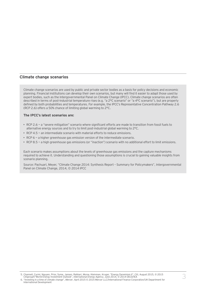### **Climate change scenarios**

Climate change scenarios are used by public and private sector bodies as a basis for policy decisions and economic planning. Financial institutions can develop their own scenarios, but many will find it easier to adapt those used by expert bodies, such as the Intergovernmental Panel on Climate Change (IPCC). Climate change scenarios are often described in terms of post-industrial temperature rises (e.g. "a 2°C scenario" or "a 4°C scenario"), but are properly defined by both probabilities and temperatures. For example, the IPCC's Representative Concentration Pathway 2.6 (RCP 2.6) offers a 50% chance of limiting global warming to 2°C.

### **The IPCC's latest scenarios are:**

- RCP 2.6 a "severe mitigation" scenario where significant efforts are made to transition from fossil fuels to alternative energy sources and to try to limit post-industrial global warming to 2°C.
- $\triangleright$  RCP 4.5 an intermediate scenario with material efforts to reduce emissions.
- $\triangleright$  RCP 6 a higher greenhouse gas emission version of the intermediate scenario.
- RCP 8.5 a high greenhouse gas emissions (or "inaction") scenario with no additional effort to limit emissions.

Each scenario makes assumptions about the levels of greenhouse gas emissions and the capture mechanisms required to achieve it. Understanding and questioning those assumptions is crucial to gaining valuable insights from scenario planning.

Source: Pachuari, Meyer, "Climate Change 2014: Synthesis Report – Summary for Policymakers", Intergovernmental Panel on Climate Change, 2014, © 2014 IPCC

5. Channell, Curmi, Nguyen, Prior, Syme, Jansen, Rahbari, Morse, Kleinman, Kruger, "Energy Darwinism II", Citi, August 2015, © 2015<br>Citigroup5"World Energy Investment Outlook", *International Energy Agency, J*une 2014, © 2

6. "Investing in a time of climate change", *Mercer*, April 2015 © 2015 Mercer LLC/International Finance Corporation/UK Department for International Development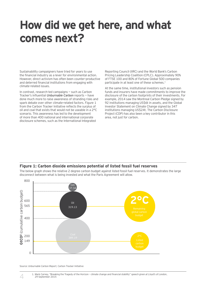# **How did we get here, and what comes next?**

Sustainability campaigners have tried for years to use the financial industry as a lever for environmental action. However, direct activism has often been counter-productive and deterred financial institutions from engaging with climate-related issues.

In contrast, research-led campaigns — such as Carbon Tracker's influential *Unburnable Carbon* reports — have done much more to raise awareness of stranding risks and spark debate over other climate-related factors. Figure 1 from the Carbon Tracker Initiative reflects the surplus of oil and coal that exists that would not be useable in a 2°C scenario. This awareness has led to the development of more than 400 national and international corporate disclosure schemes, such as the International Integrated

Reporting Council (IIRC) and the World Bank's Carbon Pricing Leadership Coalition (CPLC). Approximately 90% of FTSE 100 and 80% of Fortune Global 500 companies participate in at least one of these schemes.<sup>1</sup>

At the same time, institutional investors such as pension funds and insurers have made commitments to improve the disclosure of the carbon footprints of their investments. For example, 2014 saw the Montreal Carbon Pledge signed by 92 institutions managing US\$6t in assets, and the Global Investor Statement on Climate Change signed by 347 institutions managing US\$24t. The Carbon Disclosure Project (CDP) has also been a key contributor in this area, not just for carbon.

### **Figure 1: Carbon dioxide emissions potential of listed fossil fuel reserves**

The below graph shows the relative 2 degree carbon budget against listed fossil fuel reserves. It demonstrates the large disconnect between what is being invested and what the Paris Agreement will allow.



Source: *Unburnable Carbon Report,* Carbon Tracker Initiative

4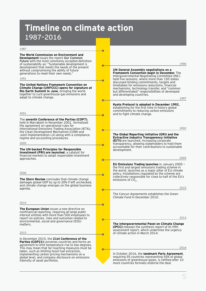# **Timeline on climate action**  1987–2016

Ċ

۸

 $\sqrt{2}$ 

ċ

÷

è

Ē

ē

۳

#### 1987

**The World Commission on Environment and Development** issues the report *Our Common Future* with the most commonly accepted definition of sustainability as: "Sustainable development is development that meets the needs of the present without compromising the ability of future generations to meet their own needs.

#### 1991

**The United Nations Framework Convention on Climate Change (UNFCCC) opens for signature at Rio Earth Summit in June**, bringing the world together to curb greenhouse gas emissions and adapt to climate change.

2001

The **seventh Conference of the Parties (COP7)**, held in Marrakesh in November 2001, formalized the agreement on operational rules for International Emissions Trading Association (IETA), the Clean Development Mechanism (CDM) and Joint Implementation (JI) along with a compliance regime and accounting procedures.

2005

**The UN-backed Principles for Responsible Investment (PRI) are launched**, a catalyst for

financial markets to adopt responsible investment approaches.

2006

**The Stern Review** concludes that climate change damages global GDP by up to 20% if left unchecked, and climate change emerges on the global business agenda.

2014

**The European Union** issues a new directive on nonfinancial reporting, requiring all large public interest entities with more than 500 employees to report on policies, risks and outcomes related to environmental, social and governance (ESG) matters.

2015

In December 2015, the **21st Conference of the Parties (COP21)** convenes countries and forms an agreement to limit temperature rise to two degrees. This may mean that far-reaching measures must be taken, such as limiting fossil fuel extraction, implementing carbon pricing mechanisms on a global level, and company disclosure on emissions intensity of asset portfolios.

**UN General Assembly negotiations on a Framework Convention begin in December.** The Intergovernmental Negotiating Committee (INC) held five sessions, where more than 150 states discussed binding commitments, targets and timetables for emissions reductions, financial mechanisms, technology transfer, and "common but differentiated" responsibilities of developed and developing countries. **Kyoto Protocol is adopted in December 1992,** establishing for the first time in history global commitments to reducing carbon emissions and to fight climate change. 1990 1997

2002

**The Global Reporting Initiative (GRI) and the Extractive Industry Transparency Initiative (EITI)** are launched, increasing corporate transparency, allowing stakeholders to hold them accountable for their contributions to sustainable development.

2005

**EU Emissions Trading launches** in January 2005 the first and largest emissions trading scheme in the world, launches as a major pillar of EU climate policy. Installations regulated by the scheme are collectively responsible for close to half of the EU's emissions of  $CO<sub>2</sub>$ .

2010

The Cancun Agreements establishes the Green Climate Fund in December 2010.

2014

**The Intergovernmental Panel on Climate Change (IPCC)** releases the synthesis report of its fifth assessment report, which underlines the urgency of climate action in March 2014.

2016

In October 2016, the **landmark Paris Agreement**, requiring 55 countries representing 55% of global emissions of greenhouse gases, is ratified after 10 more countries formally endorse the deal.

5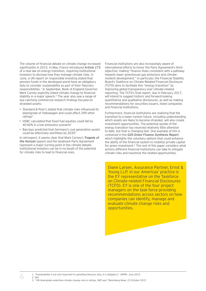The volume of financial debate on climate change increased significantly in 2015. In May, France introduced *Article 173* of a new law on energy transition, requiring institutional investors to disclose how they manage climate risks. In June, a UN report on responsible investing stated that pension funds in the developed world have an obligatory duty to consider sustainability as part of their fiduciary responsibilities.<sup>1</sup> In September, Bank of England Governor Mark Carney explicitly linked climate change to financial stability in a major speech.<sup>2</sup> The year also saw a range of eye-catching commercial research findings focused on stranded assets:

- Standard & Poor's stated that climate risks influenced its downgrade of Volkswagen and could affect 299 other  $ratinas<sup>3</sup>$
- HSBC calculated that fossil fuel equities could fall by 40-60% in a low emissions scenario4
- Barclays predicted that Germany's coal generation assets could be effectively worthless by 20305

In retrospect, it seems clear that Mark Carney's *Tragedy of the Horizon* speech and the landmark Paris Agreement represent a major turning point in the climate debate. Institutional investors can be in no doubt of the potential for climate risks to lead to financial ones.

Financial institutions are also increasingly aware of international efforts to honor the Paris Agreement's third objective: making "finance flows consistent with a pathway towards lower greenhouse gas emissions and climateresilient development." In particular, the Financial Stability Board's Taskforce on Climate-Related Financial Disclosure (TCFD) aims to facilitate this "energy transition" by improving global transparency over climate-related reporting. The TCFD's final report, due in February 2017, will intend to suggest historic and forward-looking quantitative and qualitative disclosures, as well as making recommendations for securities issuers, listed companies and financial institutions.

Furthermore, financial institutions are realizing that the transition to a lower-carbon future, including understanding which assets are likely to become stranded, will also create investment opportunities. The potential upside of the energy transition has received relatively little attention to date, but that is changing fast. One example of this is contained in the *G20 Green Finance Synthesis Report*, which highlights the voluntary options that could enhance the ability of the financial system to mobilize private capital for green investment.<sup>6</sup> The rest of this paper considers what actions different financial institutions can take to mitigate climate risks and maximize the related opportunities.

Diane Larsen, Assurance Partner, Ernst & Young LLP, in our Americas' practice is the EY representative on the Taskforce on Climate-related Financial Disclosures (TCFD). EY is one of the four project managers on the task force providing recommendations across sectors on how companies can identify, manage and evaluate climate change risks and opportunities.

1. "Sustainability is not only important to upholding fiduciary duty, it is obligatory", UNPRI, June 2015

2. Ibid 3. "VW downgrade underlines climate change role on ratings, S&P says" Bloomberg News, 23 October 2015

6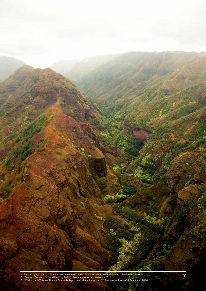

6. "What is the G20 Green Finance Synthesis Report, and why is it important?", Responsible Investor, 7 September 2016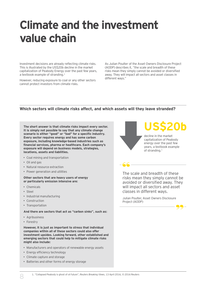# **Climate and the investment value chain**

Investment decisions are already reflecting climate risks. This is illustrated by the US\$20b decline in the market capitalization of Peabody Energy over the past few years, a textbook example of stranding.<sup>1</sup>

However, reducing exposure to coal or any other sectors cannot protect investors from climate risks.

As Julian Poulter of the Asset Owners Disclosure Project (AODP) describes it, "the scale and breadth of these risks mean they simply cannot be avoided or diversified away. They will impact all sectors and asset classes in different ways."

## **Which sectors will climate risks affect, and which assets will they leave stranded?**

**The short answer is that climate risks impact every sector. It is simply not possible to say that any climate change scenario is either "good" or "bad" for a specific industry. Every sector requires energy and has some carbon exposure, including knowledge-based industries such as financial services, pharma or healthcare. Each company's exposure will depend on business models, strategies, locations, assets and liabilities.**

- Coal mining and transportation
- Oil and gas
- Natural resource extraction
- Power generation and utilities

#### **Other sectors that are heavy users of energy or particularly emission intensive are:**

- Chemicals
- Steel
- Industrial manufacturing
- Construction
- Transportation

**And there are sectors that act as "carbon sinks", such as:**

- Agribusiness
- Forestry

**However, it is just as important to stress that individual companies within all of these sectors could also offer investment upsides. Looking forward, other established and emerging sectors that could help to mitigate climate risks might also include:**

- Manufacturers and operators of renewable energy assets
- Energy efficiency technology
- Climate capture and storage
- Batteries and other forms of energy storage



 $-66-$ 

# **US\$20b**

decline in the market capitalization of Peabody energy over the past few years, a textbook example of stranding.1

The scale and breadth of these risks mean they simply cannot be avoided or diversified away. They will impact all sectors and asset classes in different ways.

Julian Poulter, Asset Owners Disclosure Project (AODP)

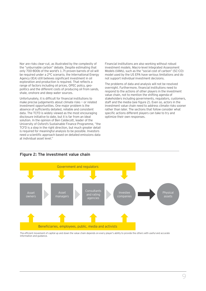Nor are risks clear-cut, as illustrated by the complexity of the "unburnable carbon" debate. Despite estimating that only 700-800b of the world's 1.7t proven barrels of oil will be required under a 2°C scenario, the International Energy Agency (IEA) still believes significant investment in oil exploration and production is required. That reflects a range of factors including oil prices, OPEC policy, geopolitics and the different costs of producing oil from sands, shale, onshore and deep water sources.

Unfortunately, it is difficult for financial institutions to make precise judgements about climate risks — or related investment opportunities. One major problem is the absence of sufficiently detailed, reliable and consistent data. The TCFD is widely viewed as the most encouraging disclosure initiative to date, but it is far from an ideal solution. In the opinion of Ben Caldecott, leader of the University of Oxford's Sustainable Finance Programme, "the TCFD is a step in the right direction, but much greater detail is required for meaningful analysis to be possible. Investors need a scientific approach based on detailed emissions data at individual asset level."

Financial institutions are also working without robust investment models. Macro-level Integrated Assessment Models (IAMs), such as the "social cost of carbon" (SC-CO₂) model used by the US EPA have serious limitations and do not support individual investment decisions.

The problems of data and analysis will not be resolved overnight. Furthermore, financial institutions need to respond to the actions of other players in the investment value chain, not to mention the shifting agenda of stakeholders including governments, regulators, customers, staff and the media (see figure 2). Even so, actors in the investment value chain need to address climate risks sooner rather than later. The sections that follow consider what specific actions different players can take to try and optimize their own responses.



## **Figure 2: The investment value chain**

The efficient movement of capital up and down the value chain depends on every player's ability to provide the others with useful and accurate information and guidance.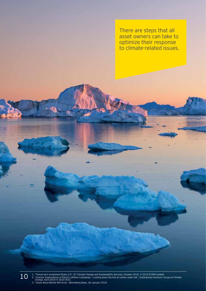There are steps that all asset owners can take to optimize their response to climate-related issues.

1. "Tomorrow's Investment Rules 2.0", EY Climate Change and Sustainability Services, October 2015, © 2015 EYGM Limited 2. "Investor Expectations of Electric Utilities Companies – Looking down the line at carbon asset risk", Institutional Investors' Group on Climate Change, April 2016 © 2016 IIGCC 3. "Green Bond Market Will Grow", Bloomberg News, 26 January 2016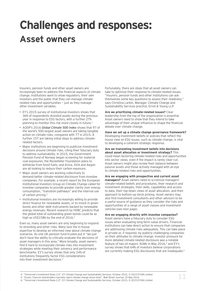# **Challenges and responses: Asset owners**

Insurers, pension funds and other asset owners are increasingly keen to address the financial aspects of climate change. Institutions want to show regulators, their own investors and the public that they can manage climaterelated risks and opportunities — just as they manage other investment variables.

- EY's 2015 survey of institutional investors shows that 36% of respondents divested assets during the previous year in response to ESG factors, with a further 27% planning to monitor this risk more closely in future.<sup>1</sup>
- AODP's 2016 *Global Climate 500 Index* shows that 97 of the world's 500 largest asset owners are taking tangible action on climate risks, compared with 77 in 2015. A further 157 are taking initial steps to address climaterelated factors.
- Major institutions are beginning to publicize investment decisions around climate risks, citing their fiduciary duty to address sustainability. In 2015, the Government Pension Fund of Norway began screening for material coal exposures; the Rockefeller Foundation plans to withdraw from fossil fuels; and Aviva, AXA and Aegon are all looking to reduce their carbon exposure.
- Major asset owners are working collectively to demand better climate-related disclosure from investee companies. For example, a recent report by the European Institutional Investors Group on Climate Change called for investee companies to provide greater clarity over energy consumption, "transition pathways" and the internal use of carbon pricing.<sup>2</sup>
- Institutional investors are increasingly willing to provide direct finance for renewable assets, or to invest in green bonds and other debt instruments backed by renewable energy revenues. Recent research by HSBC predicts that the global total of outstanding green bonds could be as high as US\$158b by the end of 2016.<sup>3</sup>

Even so, many asset owners are only beginning to respond to stranding and other risks. Many lack the in-house expertise to develop an informed view about climate change scenarios. As one UK pension fund trustee put it "we just don't have the ability to critically evaluate the decisions of asset managers in this area." More broadly, asset owners find it hard to incorporate climate risks into investment strategies while meeting their solvency and performance benchmarks. EY's survey shows that only 24% of institutions frequently factor ESG considerations into their investment decisions.4

Fortunately, there are steps that all asset owners can take to optimize their response to climate-related issues. "Insurers, pension funds and other institutions can ask themselves some key questions to assess their readiness," says Christina Larkin, Manager, Climate Change and Sustainability Services practice, Ernst & Young LLP.

**Are we prioritizing climate-related issues?** Clear leadership from the top of the organization is essential. Asset owners need to show that they intend to take advantage of their unique influence to shape the financial debate over climate change.

**Have we set up a climate change governance framework?** Developing investment beliefs or policies that reflect the house view on ESG issues, such as climate change, is vital to developing a coherent strategic response.

**Are we translating investment beliefs into decisions about asset allocation or investment strategy?** This could mean factoring climate-related risks and opportunities into sector views, even if the impact is rarely clear-cut. Asset owners might also review their balance between passive assets and those actively managed with an eye to climate-related risks and opportunities.

**Are we engaging with prospective and current asset managers?** Asset owners need to scrutinize managers' climate-related beliefs and procedures, their research and investment strategies, their skills, capabilities and access to data, their top-down views of asset allocation, and their approach to bottom-up stock picking. Asset owners may also find investment consultants and other advisors to be a useful source of guidance as they consider the risks and opportunities of a range of asset classes and investment vehicles (see next page).

**Are we engaging directly with investee companies?** Asset owners have a fiduciary duty to consider ESG issues when evaluating long-term value drivers. Financial institutions can take direct action to ensure that companies are addressing climate risks adequately. This can take place in private or, if required, by publicly challenging companies on their attitudes to climate change. Investor pressure for more detailed climate-related disclosure was a notable feature of two oil majors' AGMs in May 2016,<sup>5</sup> and EY's survey shows that 64% of investors believe corporations are currently making ESG disclosures that are inadequate.<sup>6</sup>

<sup>4.</sup> "Tomorrow's Investment Rules 2.0", EY Climate Change and Sustainability Services, October 2015, © 2015 EYGM Limited

<sup>5.</sup> "Exxon, Chevron shareholders narrowly reject climate change stress tests", Wall Street Journal, 25 May 2016 6. "Tomorrow's Investment Rules 2.0", EY Climate Change and Sustainability Services, October 2015, © 2015 EYGM Limited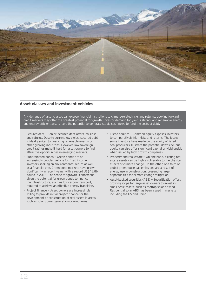

## **Asset classes and investment vehicles**

A wide range of asset classes can expose financial institutions to climate-related risks and returns. Looking forward, credit markets may offer the greatest potential for growth. Investor demand for yield is strong, and renewable energy and energy efficient assets have the potential to generate stable cash flows to fund the costs of debt.

- Secured debt Senior, secured debt offers low risks and returns. Despite current low yields, secured debt is ideally suited to financing renewable energy or other growing industries. However, low sovereign credit ratings make it hard for asset owners to find attractive opportunities in emerging markets.
- Subordinated bonds Green bonds are an increasingly popular vehicle for fixed income investors seeking an environmental return as well as a financial one. Green bond markets have grown significantly in recent years, with a record US\$41.8b issued in 2015. The scope for growth is enormous, given the potential for green bonds to finance the infrastructure, such as low carbon transport, required to achieve an effective energy transition.
- Project finance Asset owners are increasingly willing to provide initial project finance for the development or construction of real assets in areas, such as solar power generation or windfarms.
- Listed equities Common equity exposes investors to comparatively high risks and returns. The losses some investors have made on the equity of listed coal producers illustrate the potential downside, but equity can also offer significant capital or yield upside when issued by high growth companies.
- Property and real estate On one hand, existing real estate assets can be highly vulnerable to the physical effects of climate change. On the other, one third of global greenhouse gas emissions are a result of energy use in construction, presenting large opportunities for climate change mitigation.
- Asset-backed securities (ABS) Securitization offers growing scope for large asset owners to invest in small-scale assets, such as rooftop solar or wind. Residential solar ABS has been issued in markets including the US and China.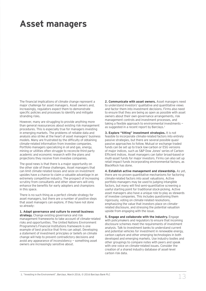# **Asset managers**

The financial implications of climate change represent a major challenge for asset managers. Asset owners and, increasingly, regulators expect them to demonstrate specific policies and processes to identify and mitigate stranding risks.

However, many are struggling to provide anything more than general reassurances about existing risk management procedures. This is especially true for managers investing in emerging markets. The problems of reliable data and analysis also strike at the heart of asset managers' business models. Many are frustrated by the difficulty of obtaining climate-related information from investee companies. Portfolio managers specializing in oil and gas, energy, mining or utilities often struggle to reconcile third party academic and economic research with the plans and projections they receive from investee companies.

The good news is that there is a major opportunity on the other side of these challenges. Asset managers that can limit climate-related losses and seize on investment upsides have a chance to claim a valuable advantage in an extremely competitive industry. The prospect of increasing scrutiny from consultants and other observers will only enhance the benefits for early adopters and champions in this space.

There is no such thing as a perfect climate strategy for asset managers, but there are a number of positive steps that asset managers can explore, if they have not done so already:

#### **1. Adapt governance and culture to overall business strategy.** Change existing governance and risk

management frameworks to take account of climate-related risks and opportunities. The United Nations Environment Programme's Financial Institutions framework is one example of best practice that firms can adopt. Developing a statement of investment principles or beliefs on climate change will help to prevent contradictory decisions and avoid any appearance of inconsistency — something asset owners are increasingly sensitive about.

**2. Communicate with asset owners.** Asset managers need to understand investors' qualitative and quantitative views and factor them into investment decisions. Firms also need to ensure that they are being as open as possible with asset owners about their own governance arrangements, risk management controls and investment processes, and taking a flexible approach to environmental investments as suggested in a recent report by Barclays.<sup>1</sup>

**3. Explore "tilting" investment strategies.** It is not feasible to incorporate climate-related factors into entirely passive strategies, but there are several possible quasipassive approaches to follow. Mutual or exchange traded funds can be set up to track low-carbon or ESG versions of major indices, such as S&P Dow Jones' series of Carbon Efficient indices. Asset managers can tailor broad-based or multi-asset funds for major investors. Firms can also set up retail impact funds incorporating environmental factors, as BlackRock has done.

**4. Establish active management and stewardship.** As yet, there are no proven quantitative mechanisms for factoring climate-related factors into asset valuations. Active portfolio managers may be used to judging intangible factors, but many will find semi-quantitative screening a useful starting point for traditional stock-picking. Active asset managers also have a unique role to play as stewards of investee companies. This includes questioning them rigorously, voting on climate-related resolutions, emphasizing the value that investors place on climaterelated disclosure, and stressing the potential valuation upside from engaging with the issue.

**5. Engage and collaborate with the industry.** Engage with policymakers and regulators to ensure that incoming disclosure schemes meet the requirements of investment analysis. Talk to investment banks to understand current and potential vehicles for investment in renewable energy, carbon capture and other emerging technologies in both developed and emerging markets. Use industry bodies and other groupings to compare notes with peers and speak with one voice on climate-related issues. Consider the creation of a shared industry database of asset-level carbon risk data.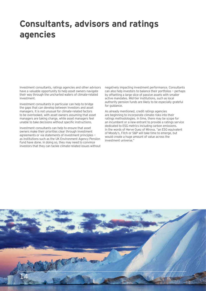# **Consultants, advisors and ratings agencies**

Investment consultants, ratings agencies and other advisors have a valuable opportunity to help asset owners navigate their way through the uncharted waters of climate-related investment.

Investment consultants in particular can help to bridge the gaps that can develop between investors and asset managers. It is not unusual for climate-related factors to be overlooked, with asset owners assuming that asset managers are taking charge, while asset managers feel unable to take decisions without specific instructions.

Investment consultants can help to ensure that asset owners make their priorities clear through investment agreements or via statements of investment principles as institutions such as the UK Environment Agency Pension Fund have done. In doing so, they may need to convince investors that they can tackle climate-related issues without negatively impacting investment performance. Consultants can also help investors to balance their portfolios — perhaps by offsetting a large slice of passive assets with smaller active mandates. Mid-tier institutions, such as local authority pension funds are likely to be especially grateful for guidance.

As already mentioned, credit ratings agencies are beginning to incorporate climate risks into their ratings methodologies. In time, there may be scope for an incumbent or a new entrant to provide a ratings service dedicated to ESG metrics including carbon emissions. In the words of Herve Guez of Mirova, "an ESG equivalent of Moody's, Fitch or S&P will take time to emerge, but would create a huge amount of value across the investment universe."

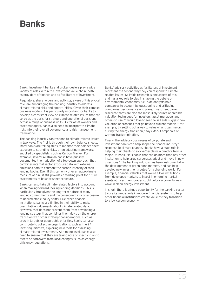# **Banks**

Banks, investment banks and broker-dealers play a wide variety of roles within the investment value chain, both as providers of finance and as facilitators of investment.

Regulators, shareholders and activists, aware of this pivotal role, are encouraging the banking industry to address climate-related risks and opportunities. Given their complex business models, it is particularly important for banks to develop a consistent view on climate-related issues that can serve as the basis for strategic and operational decisions across a range of business units. As for asset owners and asset managers, banks also need to incorporate climate risks into their overall governance and risk management frameworks.

The banking industry can respond to climate-related issues in two ways. The first is through their own balance sheets. Many banks are taking steps to monitor their balance sheet exposure to stranding risks, often adapting frameworks supplied by specialists, such as Carbon Tracker. For example, several Australian banks have publicly documented their adoption of a top-down approach that combines internal sector exposure data with external emissions data to estimate the carbon intensity of their lending books. Even if this can only offer an approximate measure of risk, it still provides a starting point for future assessments of balance sheet exposure.

Banks can also take climate-related factors into account when making forward-looking lending decisions. This is particularly true given the long-term nature of many lending commitments and the consequent risk of exposure to unpredictable policy shifts. Like other financial institutions, banks are limited in their ability to make quantitative judgements about climate-related data. However, that does not prevent them from developing a lending strategy that combines their views on the energy transition with other strategic considerations, such as growth targets or geographic priorities. Banks can also contribute to collective organizations, such as the 2° Investing Initiative, exploring new tools for assessing climate-related investments. At a micro level, banks also need to ensure that they are taking note of specific risks to assets or borrowers from local changes, such as energy efficiency regulations.

Banks' advisory activities as facilitators of investment represent the second way they can respond to climaterelated issues. Sell-side research is one aspect of this, and has a key role to play in shaping the debate on environmental economics. Sell-side analysts hold companies to account by questioning and critiquing companies' performance and plans. Investment banks' research teams are also the most likely source of credible valuation techniques for investors, asset managers and others to use. "I would love to see the sell-side suggest new valuation approaches that go beyond current models — for example, by setting out a way to value oil and gas majors during the energy transition," says Mark Campanale of Carbon Tracker Initiative.

Finally, the advisory businesses of corporate and investment banks can help shape the finance industry's response to climate change. "Banks have a huge role in helping their clients to evolve," explains a director from a major UK bank. "It is banks that can do more than any other institution to help large corporates adapt and move in new directions." The banking industry has been instrumental in the development of green bond markets, and can help develop new investment routes for a changing world. For example, financial vehicles that would allow institutions from developed markets to invest in emerging market assets at investment grades could unlock a powerful new wave in clean energy investment.

In short, there is a huge opportunity for the banking sector to use its central role in modern financial systems to help other financial institutions create value as they transition to a low carbon economy.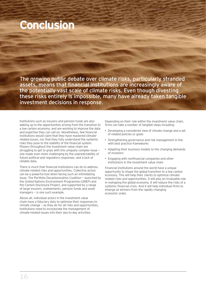# **Conclusion**

The growing public debate over climate risks, particularly stranded assets, means that financial institutions are increasingly aware of the potentially vast scale of climate risks. Even though divesting these risks entirely is impossible, many have already taken tangible investment decisions in response.

Institutions such as insurers and pension funds are also waking up to the opportunities arising from the transition to a low carbon economy, and are working to improve the data and expertise they can call on. Nonetheless, few financial institutions would claim that they have mastered climaterelated issues, nor that they fully understand the systemic risks they pose to the stability of the financial system. Players throughout the investment value chain are struggling to get to grips with this uniquely complex issue one made even more challenging by the unpredictability of future political and regulatory responses, and a lack of reliable data.

There is much that financial institutions can do to address climate-related risks and opportunities. Collective action can be a powerful tool when facing such an intimidating issue. The Portfolio Decarbonization Coalition — launched by the United Nations Environment Programme (UNEP) and the Carbon Disclosure Project, and supported by a range of large insurers, endowments, pension funds and asset managers — is one such example.

Above all, individual actors in the investment value chain have a fiduciary duty to optimize their responses to climate change — as they do for all risks and opportunities. Institutions need to incorporate the management of climate-related issues into their day-to-day activities.

Depending on their role within the investment value chain, firms can take a number of tangible steps including:

- Developing a considered view of climate change and a set of related policies or goals
- Strengthening governance and risk management in line with best practice frameworks
- Adapting their business models to the changing demands of investors
- Engaging with nonfinancial companies and other institutions in the investment value chain

Financial institutions around the world have a unique opportunity to shape the global transition to a low carbon economy. This will help their clients to optimize climaterelated risks and opportunities. It will play an invaluable role in reshaping the global economy. It will reduce the risks of a systemic financial crisis. And it will help individual firms to emerge as winners from the rapidly changing economic order.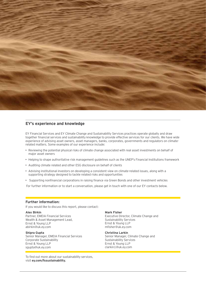

### **EY's experience and knowledge**

EY Financial Services and EY Climate Change and Sustainability Services practices operate globally and draw together financial services and sustainability knowledge to provide effective services for our clients. We have wide experience of advising asset owners, asset managers, banks, corporates, governments and regulators on climaterelated matters. Some examples of our experience include:

- Reviewing the potential physical risks of climate change associated with real asset investments on behalf of major asset owners
- Helping to shape authoritative risk management guidelines such as the UNEP's Financial Institutions framework
- Auditing climate related and other ESG disclosure on behalf of clients
- Advising institutional investors on developing a consistent view on climate-related issues, along with a supporting strategy designed to tackle related risks and opportunities
- Supporting nonfinancial corporations in raising finance via Green Bonds and other investment vehicles

For further information or to start a conversation, please get in touch with one of our EY contacts below.

### **Further information:**

If you would like to discuss this report, please contact:

#### **Alex Birkin**

Partner, EMEIA Financial Services Wealth & Asset Management Lead, Ernst & Young LLP abirkin@uk.ey.com

### **Shipra Gupta**

Senior Manager, EMEIA Financial Services Corporate Sustainability Ernst & Young LLP sgupta@uk.ey.com

To find out more about our sustainability services, visit **ey.com/fssustainability.**

#### **Mark Fisher**

Executive Director, Climate Change and Sustainability Services Ernst & Young LLP mfisher@uk.ey.com

#### **Christina Larkin**

Senior Manager, Climate Change and Sustainability Services Ernst & Young LLP clarkin1@uk.ey.com